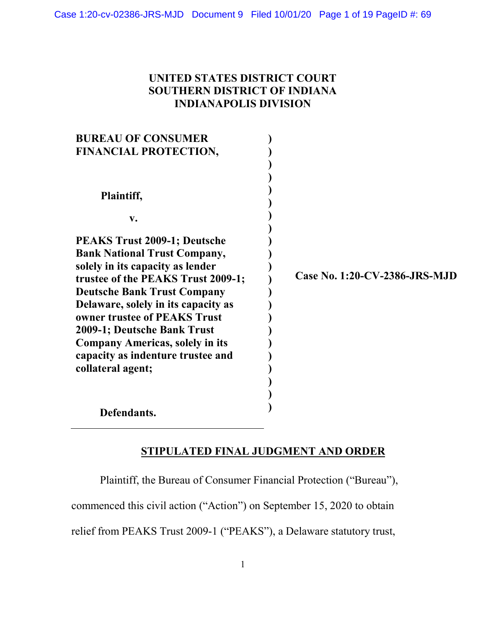# UNITED STATES DISTRICT COURT SOUTHERN DISTRICT OF INDIANA INDIANAPOLIS DIVISION

| <b>BUREAU OF CONSUMER</b>              |                               |
|----------------------------------------|-------------------------------|
| FINANCIAL PROTECTION,                  |                               |
|                                        |                               |
|                                        |                               |
| Plaintiff,                             |                               |
| $V_{\bullet}$                          |                               |
| <b>PEAKS Trust 2009-1; Deutsche</b>    |                               |
| <b>Bank National Trust Company,</b>    |                               |
| solely in its capacity as lender       |                               |
| trustee of the PEAKS Trust 2009-1;     | Case No. 1:20-CV-2386-JRS-MJD |
| <b>Deutsche Bank Trust Company</b>     |                               |
| Delaware, solely in its capacity as    |                               |
| owner trustee of PEAKS Trust           |                               |
| 2009-1; Deutsche Bank Trust            |                               |
| <b>Company Americas, solely in its</b> |                               |
| capacity as indenture trustee and      |                               |
| collateral agent;                      |                               |
|                                        |                               |
|                                        |                               |
| Defendants.                            |                               |

# STIPULATED FINAL JUDGMENT AND ORDER

Plaintiff, the Bureau of Consumer Financial Protection ("Bureau"),

commenced this civil action ("Action") on September 15, 2020 to obtain

relief from PEAKS Trust 2009-1 ("PEAKS"), a Delaware statutory trust,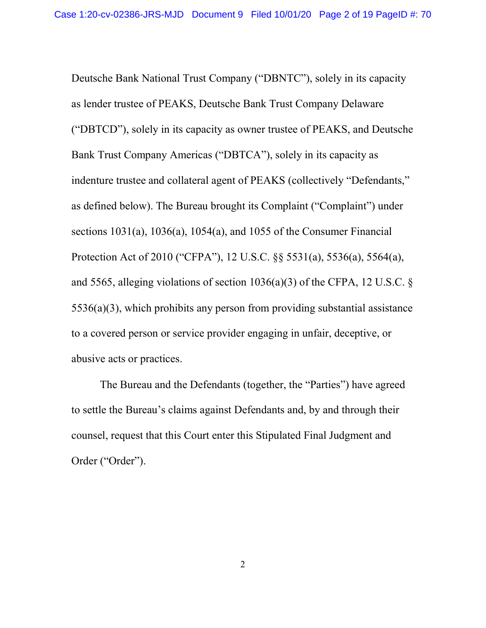Deutsche Bank National Trust Company ("DBNTC"), solely in its capacity as lender trustee of PEAKS, Deutsche Bank Trust Company Delaware ("DBTCD"), solely in its capacity as owner trustee of PEAKS, and Deutsche Bank Trust Company Americas ("DBTCA"), solely in its capacity as indenture trustee and collateral agent of PEAKS (collectively "Defendants," as defined below). The Bureau brought its Complaint ("Complaint") under sections 1031(a), 1036(a), 1054(a), and 1055 of the Consumer Financial Protection Act of 2010 ("CFPA"), 12 U.S.C. §§ 5531(a), 5536(a), 5564(a), and 5565, alleging violations of section 1036(a)(3) of the CFPA, 12 U.S.C. § 5536(a)(3), which prohibits any person from providing substantial assistance to a covered person or service provider engaging in unfair, deceptive, or abusive acts or practices.

The Bureau and the Defendants (together, the "Parties") have agreed to settle the Bureau's claims against Defendants and, by and through their counsel, request that this Court enter this Stipulated Final Judgment and Order ("Order").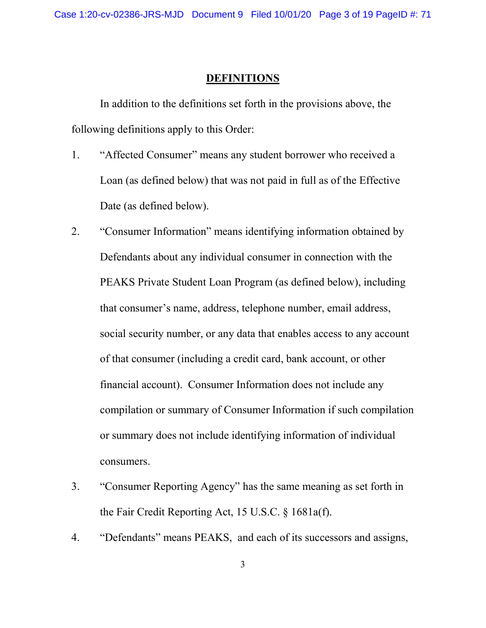### DEFINITIONS

In addition to the definitions set forth in the provisions above, the following definitions apply to this Order:

- 1. "Affected Consumer" means any student borrower who received a Loan (as defined below) that was not paid in full as of the Effective Date (as defined below).
- 2. "Consumer Information" means identifying information obtained by Defendants about any individual consumer in connection with the PEAKS Private Student Loan Program (as defined below), including that consumer's name, address, telephone number, email address, social security number, or any data that enables access to any account of that consumer (including a credit card, bank account, or other financial account). Consumer Information does not include any compilation or summary of Consumer Information if such compilation or summary does not include identifying information of individual consumers.
- 3. "Consumer Reporting Agency" has the same meaning as set forth in the Fair Credit Reporting Act, 15 U.S.C. § 1681a(f).
- 4. "Defendants" means PEAKS, and each of its successors and assigns,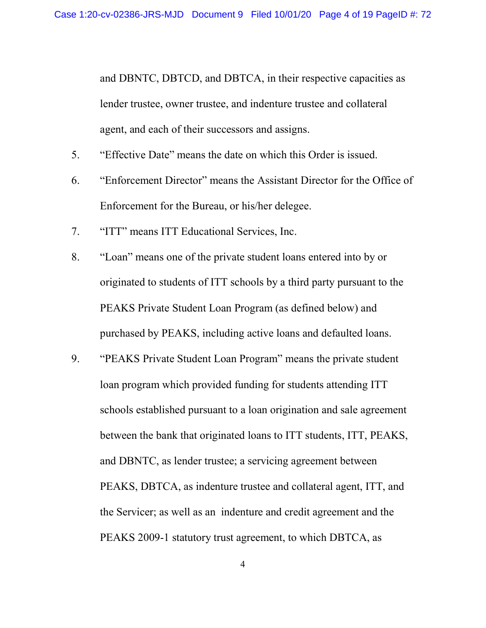and DBNTC, DBTCD, and DBTCA, in their respective capacities as lender trustee, owner trustee, and indenture trustee and collateral agent, and each of their successors and assigns.

- 5. "Effective Date" means the date on which this Order is issued.
- 6. "Enforcement Director" means the Assistant Director for the Office of Enforcement for the Bureau, or his/her delegee.
- 7. "ITT" means ITT Educational Services, Inc.
- 8. "Loan" means one of the private student loans entered into by or originated to students of ITT schools by a third party pursuant to the PEAKS Private Student Loan Program (as defined below) and purchased by PEAKS, including active loans and defaulted loans.
- 9. "PEAKS Private Student Loan Program" means the private student loan program which provided funding for students attending ITT schools established pursuant to a loan origination and sale agreement between the bank that originated loans to ITT students, ITT, PEAKS, and DBNTC, as lender trustee; a servicing agreement between PEAKS, DBTCA, as indenture trustee and collateral agent, ITT, and the Servicer; as well as an indenture and credit agreement and the PEAKS 2009-1 statutory trust agreement, to which DBTCA, as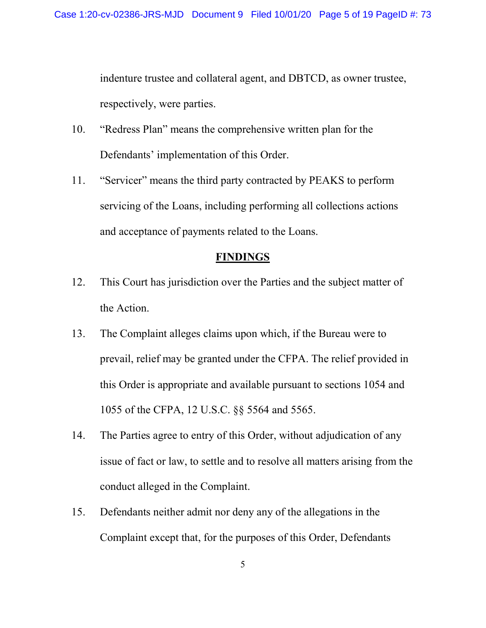indenture trustee and collateral agent, and DBTCD, as owner trustee, respectively, were parties.

- 10. "Redress Plan" means the comprehensive written plan for the Defendants' implementation of this Order.
- 11. "Servicer" means the third party contracted by PEAKS to perform servicing of the Loans, including performing all collections actions and acceptance of payments related to the Loans.

# **FINDINGS**

- 12. This Court has jurisdiction over the Parties and the subject matter of the Action.
- 13. The Complaint alleges claims upon which, if the Bureau were to prevail, relief may be granted under the CFPA. The relief provided in this Order is appropriate and available pursuant to sections 1054 and 1055 of the CFPA, 12 U.S.C. §§ 5564 and 5565.
- 14. The Parties agree to entry of this Order, without adjudication of any issue of fact or law, to settle and to resolve all matters arising from the conduct alleged in the Complaint.
- 15. Defendants neither admit nor deny any of the allegations in the Complaint except that, for the purposes of this Order, Defendants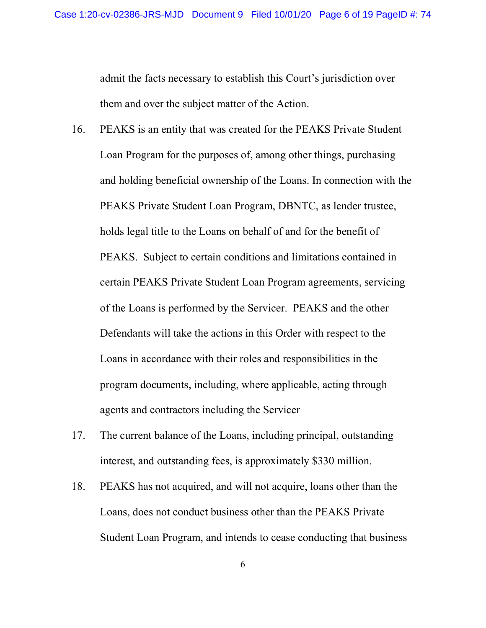admit the facts necessary to establish this Court's jurisdiction over them and over the subject matter of the Action.

- 16. PEAKS is an entity that was created for the PEAKS Private Student Loan Program for the purposes of, among other things, purchasing and holding beneficial ownership of the Loans. In connection with the PEAKS Private Student Loan Program, DBNTC, as lender trustee, holds legal title to the Loans on behalf of and for the benefit of PEAKS. Subject to certain conditions and limitations contained in certain PEAKS Private Student Loan Program agreements, servicing of the Loans is performed by the Servicer. PEAKS and the other Defendants will take the actions in this Order with respect to the Loans in accordance with their roles and responsibilities in the program documents, including, where applicable, acting through agents and contractors including the Servicer
- 17. The current balance of the Loans, including principal, outstanding interest, and outstanding fees, is approximately \$330 million.
- 18. PEAKS has not acquired, and will not acquire, loans other than the Loans, does not conduct business other than the PEAKS Private Student Loan Program, and intends to cease conducting that business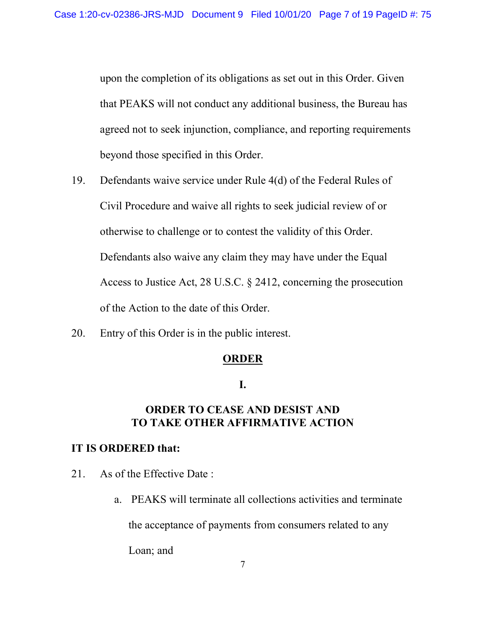upon the completion of its obligations as set out in this Order. Given that PEAKS will not conduct any additional business, the Bureau has agreed not to seek injunction, compliance, and reporting requirements beyond those specified in this Order.

- 19. Defendants waive service under Rule 4(d) of the Federal Rules of Civil Procedure and waive all rights to seek judicial review of or otherwise to challenge or to contest the validity of this Order. Defendants also waive any claim they may have under the Equal Access to Justice Act, 28 U.S.C. § 2412, concerning the prosecution of the Action to the date of this Order.
- 20. Entry of this Order is in the public interest.

# **ORDER**

# I.

# ORDER TO CEASE AND DESIST AND TO TAKE OTHER AFFIRMATIVE ACTION

# IT IS ORDERED that:

- 21. As of the Effective Date :
	- a. PEAKS will terminate all collections activities and terminate

the acceptance of payments from consumers related to any

Loan; and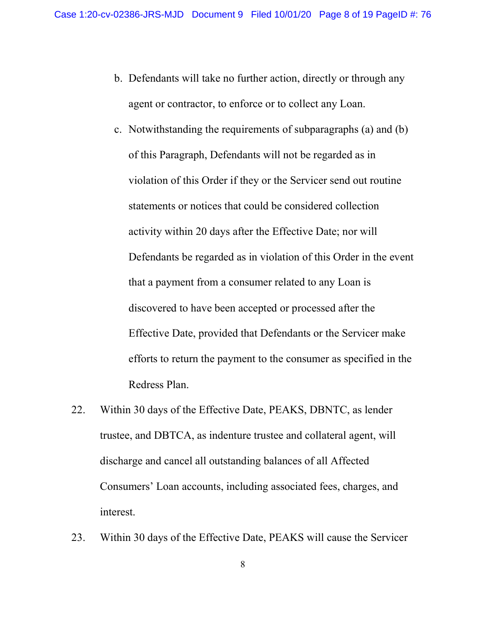- b. Defendants will take no further action, directly or through any agent or contractor, to enforce or to collect any Loan.
- c. Notwithstanding the requirements of subparagraphs (a) and (b) of this Paragraph, Defendants will not be regarded as in violation of this Order if they or the Servicer send out routine statements or notices that could be considered collection activity within 20 days after the Effective Date; nor will Defendants be regarded as in violation of this Order in the event that a payment from a consumer related to any Loan is discovered to have been accepted or processed after the Effective Date, provided that Defendants or the Servicer make efforts to return the payment to the consumer as specified in the Redress Plan.
- 22. Within 30 days of the Effective Date, PEAKS, DBNTC, as lender trustee, and DBTCA, as indenture trustee and collateral agent, will discharge and cancel all outstanding balances of all Affected Consumers' Loan accounts, including associated fees, charges, and interest.
- 23. Within 30 days of the Effective Date, PEAKS will cause the Servicer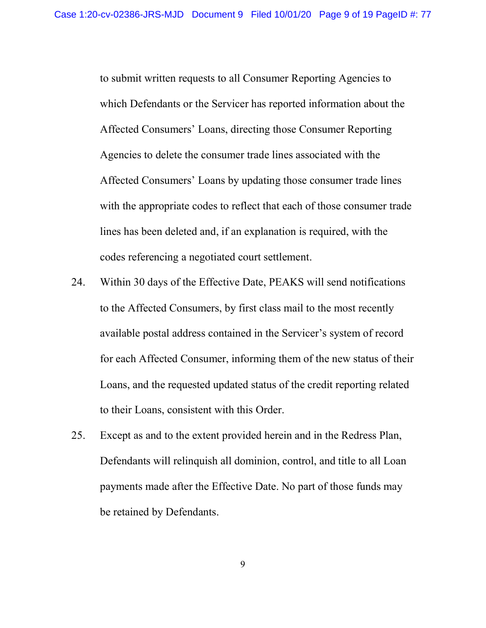to submit written requests to all Consumer Reporting Agencies to which Defendants or the Servicer has reported information about the Affected Consumers' Loans, directing those Consumer Reporting Agencies to delete the consumer trade lines associated with the Affected Consumers' Loans by updating those consumer trade lines with the appropriate codes to reflect that each of those consumer trade lines has been deleted and, if an explanation is required, with the codes referencing a negotiated court settlement.

- 24. Within 30 days of the Effective Date, PEAKS will send notifications to the Affected Consumers, by first class mail to the most recently available postal address contained in the Servicer's system of record for each Affected Consumer, informing them of the new status of their Loans, and the requested updated status of the credit reporting related to their Loans, consistent with this Order.
- 25. Except as and to the extent provided herein and in the Redress Plan, Defendants will relinquish all dominion, control, and title to all Loan payments made after the Effective Date. No part of those funds may be retained by Defendants.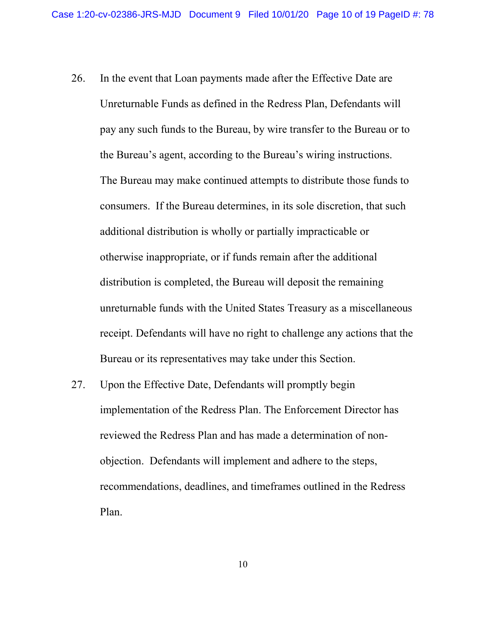- 26. In the event that Loan payments made after the Effective Date are Unreturnable Funds as defined in the Redress Plan, Defendants will pay any such funds to the Bureau, by wire transfer to the Bureau or to the Bureau's agent, according to the Bureau's wiring instructions. The Bureau may make continued attempts to distribute those funds to consumers. If the Bureau determines, in its sole discretion, that such additional distribution is wholly or partially impracticable or otherwise inappropriate, or if funds remain after the additional distribution is completed, the Bureau will deposit the remaining unreturnable funds with the United States Treasury as a miscellaneous receipt. Defendants will have no right to challenge any actions that the Bureau or its representatives may take under this Section.
- 27. Upon the Effective Date, Defendants will promptly begin implementation of the Redress Plan. The Enforcement Director has reviewed the Redress Plan and has made a determination of nonobjection. Defendants will implement and adhere to the steps, recommendations, deadlines, and timeframes outlined in the Redress Plan.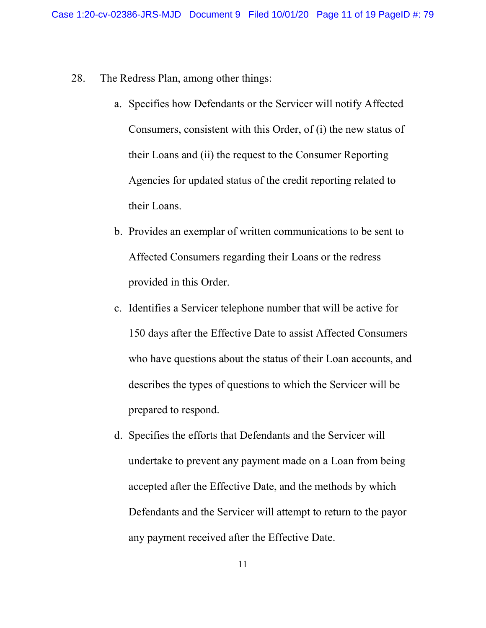- 28. The Redress Plan, among other things:
	- a. Specifies how Defendants or the Servicer will notify Affected Consumers, consistent with this Order, of (i) the new status of their Loans and (ii) the request to the Consumer Reporting Agencies for updated status of the credit reporting related to their Loans.
	- b. Provides an exemplar of written communications to be sent to Affected Consumers regarding their Loans or the redress provided in this Order.
	- c. Identifies a Servicer telephone number that will be active for 150 days after the Effective Date to assist Affected Consumers who have questions about the status of their Loan accounts, and describes the types of questions to which the Servicer will be prepared to respond.
	- d. Specifies the efforts that Defendants and the Servicer will undertake to prevent any payment made on a Loan from being accepted after the Effective Date, and the methods by which Defendants and the Servicer will attempt to return to the payor any payment received after the Effective Date.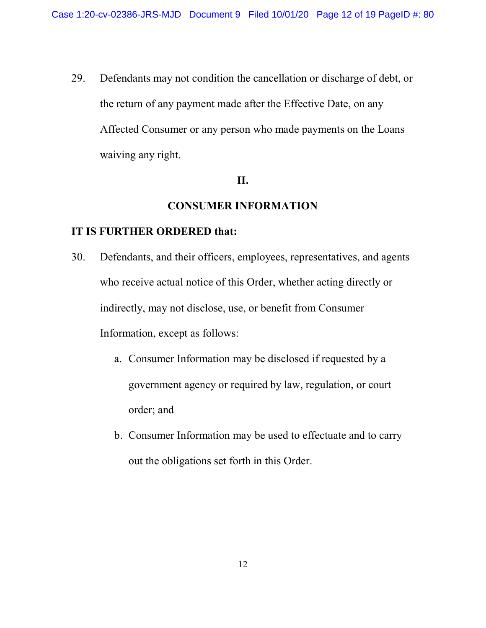29. Defendants may not condition the cancellation or discharge of debt, or the return of any payment made after the Effective Date, on any Affected Consumer or any person who made payments on the Loans waiving any right.

# II.

# CONSUMER INFORMATION

- 30. Defendants, and their officers, employees, representatives, and agents who receive actual notice of this Order, whether acting directly or indirectly, may not disclose, use, or benefit from Consumer Information, except as follows:
	- a. Consumer Information may be disclosed if requested by a government agency or required by law, regulation, or court order; and
	- b. Consumer Information may be used to effectuate and to carry out the obligations set forth in this Order.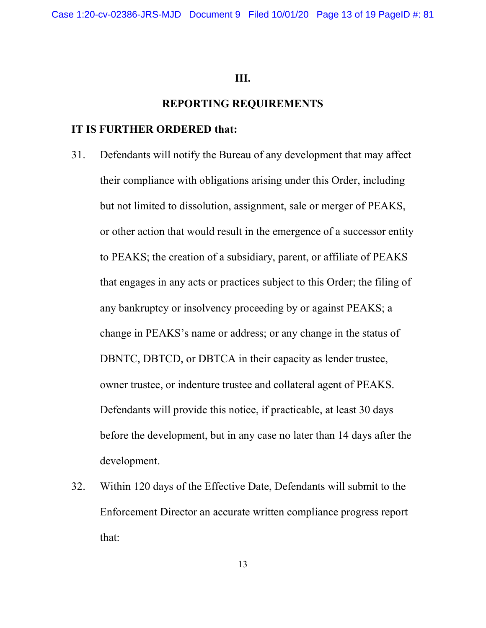#### III.

#### REPORTING REQUIREMENTS

- 31. Defendants will notify the Bureau of any development that may affect their compliance with obligations arising under this Order, including but not limited to dissolution, assignment, sale or merger of PEAKS, or other action that would result in the emergence of a successor entity to PEAKS; the creation of a subsidiary, parent, or affiliate of PEAKS that engages in any acts or practices subject to this Order; the filing of any bankruptcy or insolvency proceeding by or against PEAKS; a change in PEAKS's name or address; or any change in the status of DBNTC, DBTCD, or DBTCA in their capacity as lender trustee, owner trustee, or indenture trustee and collateral agent of PEAKS. Defendants will provide this notice, if practicable, at least 30 days before the development, but in any case no later than 14 days after the development.
- 32. Within 120 days of the Effective Date, Defendants will submit to the Enforcement Director an accurate written compliance progress report that: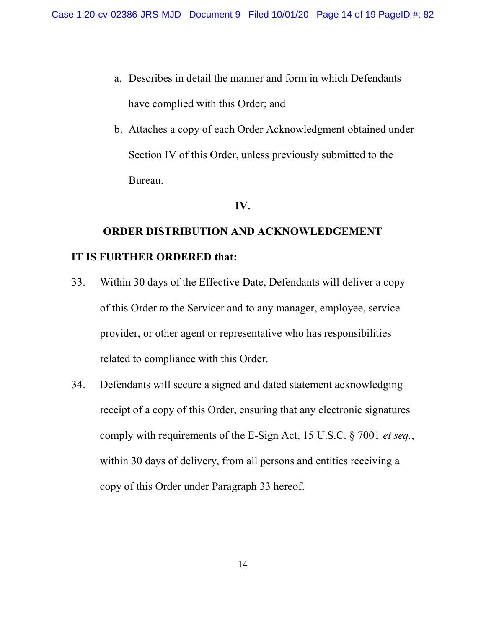- a. Describes in detail the manner and form in which Defendants have complied with this Order; and
- b. Attaches a copy of each Order Acknowledgment obtained under Section IV of this Order, unless previously submitted to the Bureau.

# IV.

# ORDER DISTRIBUTION AND ACKNOWLEDGEMENT IT IS FURTHER ORDERED that:

- 33. Within 30 days of the Effective Date, Defendants will deliver a copy of this Order to the Servicer and to any manager, employee, service provider, or other agent or representative who has responsibilities related to compliance with this Order.
- 34. Defendants will secure a signed and dated statement acknowledging receipt of a copy of this Order, ensuring that any electronic signatures comply with requirements of the E-Sign Act, 15 U.S.C. § 7001 et seq., within 30 days of delivery, from all persons and entities receiving a copy of this Order under Paragraph 33 hereof.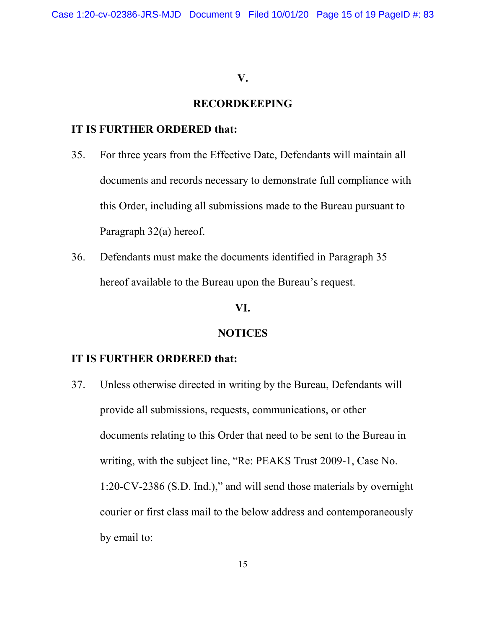#### V.

## RECORDKEEPING

## IT IS FURTHER ORDERED that:

- 35. For three years from the Effective Date, Defendants will maintain all documents and records necessary to demonstrate full compliance with this Order, including all submissions made to the Bureau pursuant to Paragraph 32(a) hereof.
- 36. Defendants must make the documents identified in Paragraph 35 hereof available to the Bureau upon the Bureau's request.

# VI.

#### NOTICES

## IT IS FURTHER ORDERED that:

37. Unless otherwise directed in writing by the Bureau, Defendants will provide all submissions, requests, communications, or other documents relating to this Order that need to be sent to the Bureau in writing, with the subject line, "Re: PEAKS Trust 2009-1, Case No. 1:20-CV-2386 (S.D. Ind.)," and will send those materials by overnight courier or first class mail to the below address and contemporaneously by email to: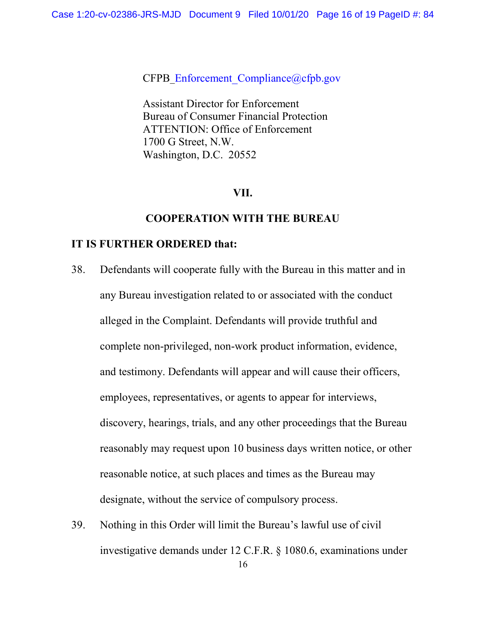CFPB\_Enforcement\_Compliance@cfpb.gov

Assistant Director for Enforcement Bureau of Consumer Financial Protection ATTENTION: Office of Enforcement 1700 G Street, N.W. Washington, D.C. 20552

## VII.

#### COOPERATION WITH THE BUREAU

- 38. Defendants will cooperate fully with the Bureau in this matter and in any Bureau investigation related to or associated with the conduct alleged in the Complaint. Defendants will provide truthful and complete non-privileged, non-work product information, evidence, and testimony. Defendants will appear and will cause their officers, employees, representatives, or agents to appear for interviews, discovery, hearings, trials, and any other proceedings that the Bureau reasonably may request upon 10 business days written notice, or other reasonable notice, at such places and times as the Bureau may designate, without the service of compulsory process.
- 39. Nothing in this Order will limit the Bureau's lawful use of civil investigative demands under 12 C.F.R. § 1080.6, examinations under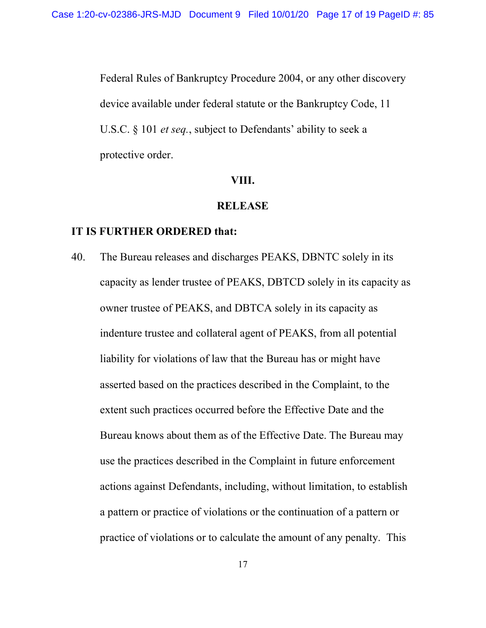Federal Rules of Bankruptcy Procedure 2004, or any other discovery device available under federal statute or the Bankruptcy Code, 11 U.S.C. § 101 *et seq.*, subject to Defendants' ability to seek a protective order.

#### VIII.

#### **RELEASE**

### IT IS FURTHER ORDERED that:

40. The Bureau releases and discharges PEAKS, DBNTC solely in its capacity as lender trustee of PEAKS, DBTCD solely in its capacity as owner trustee of PEAKS, and DBTCA solely in its capacity as indenture trustee and collateral agent of PEAKS, from all potential liability for violations of law that the Bureau has or might have asserted based on the practices described in the Complaint, to the extent such practices occurred before the Effective Date and the Bureau knows about them as of the Effective Date. The Bureau may use the practices described in the Complaint in future enforcement actions against Defendants, including, without limitation, to establish a pattern or practice of violations or the continuation of a pattern or practice of violations or to calculate the amount of any penalty. This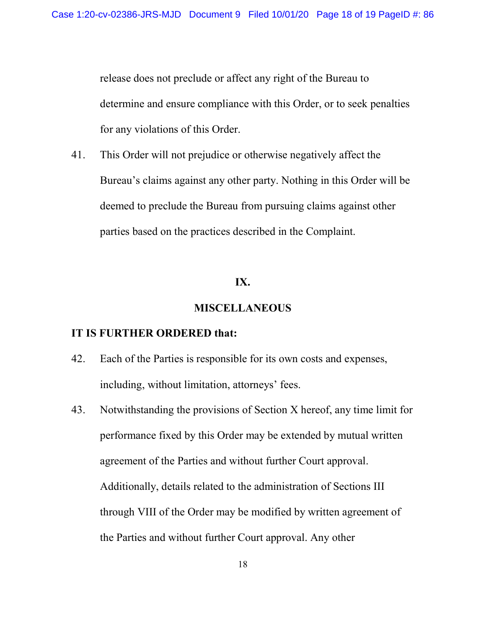release does not preclude or affect any right of the Bureau to determine and ensure compliance with this Order, or to seek penalties for any violations of this Order.

41. This Order will not prejudice or otherwise negatively affect the Bureau's claims against any other party. Nothing in this Order will be deemed to preclude the Bureau from pursuing claims against other parties based on the practices described in the Complaint.

#### IX.

#### MISCELLANEOUS

- 42. Each of the Parties is responsible for its own costs and expenses, including, without limitation, attorneys' fees.
- 43. Notwithstanding the provisions of Section X hereof, any time limit for performance fixed by this Order may be extended by mutual written agreement of the Parties and without further Court approval. Additionally, details related to the administration of Sections III through VIII of the Order may be modified by written agreement of the Parties and without further Court approval. Any other